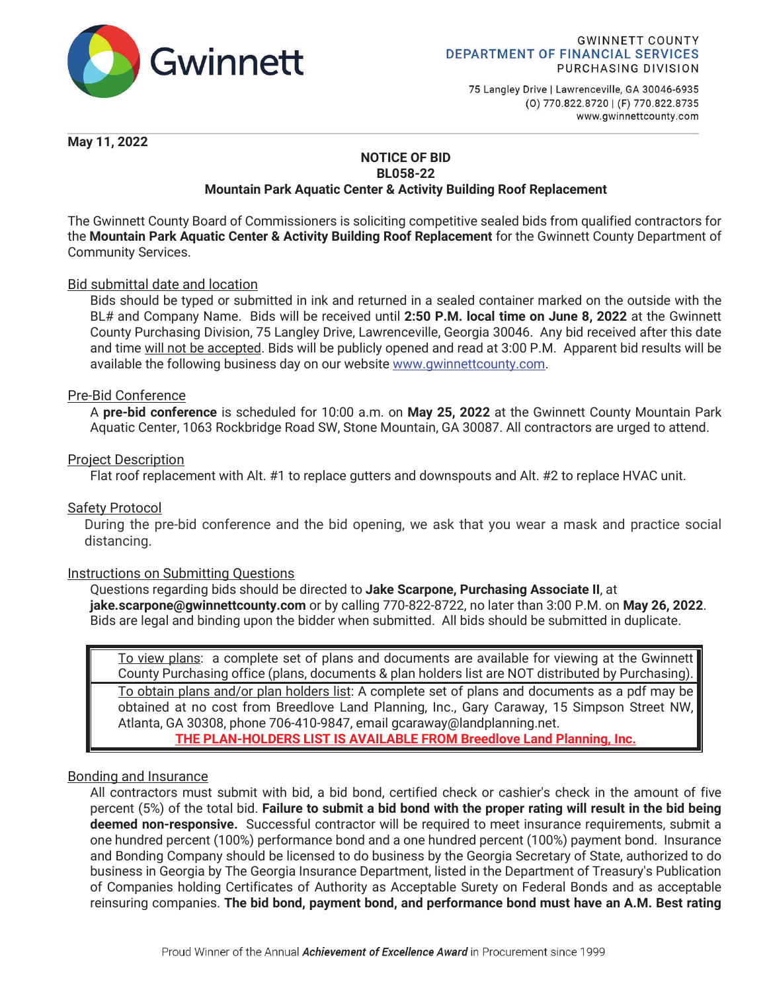

75 Langley Drive | Lawrenceville, GA 30046-6935 (0) 770.822.8720 | (F) 770.822.8735 www.gwinnettcounty.com

**May 11, 2022** 

### **NOTICE OF BID BL058-22 Mountain Park Aquatic Center & Activity Building Roof Replacement**

The Gwinnett County Board of Commissioners is soliciting competitive sealed bids from qualified contractors for the **Mountain Park Aquatic Center & Activity Building Roof Replacement** for the Gwinnett County Department of Community Services.

# Bid submittal date and location

Bids should be typed or submitted in ink and returned in a sealed container marked on the outside with the BL# and Company Name. Bids will be received until **2:50 P.M. local time on June 8, 2022** at the Gwinnett County Purchasing Division, 75 Langley Drive, Lawrenceville, Georgia 30046. Any bid received after this date and time will not be accepted. Bids will be publicly opened and read at 3:00 P.M. Apparent bid results will be available the following business day on our website www.gwinnettcounty.com.

### Pre-Bid Conference

A **pre-bid conference** is scheduled for 10:00 a.m. on **May 25, 2022** at the Gwinnett County Mountain Park Aquatic Center, 1063 Rockbridge Road SW, Stone Mountain, GA 30087. All contractors are urged to attend.

### Project Description

Flat roof replacement with Alt. #1 to replace gutters and downspouts and Alt. #2 to replace HVAC unit.

### Safety Protocol

During the pre-bid conference and the bid opening, we ask that you wear a mask and practice social distancing.

### Instructions on Submitting Questions

Questions regarding bids should be directed to **Jake Scarpone, Purchasing Associate II**, at **jake.scarpone@gwinnettcounty.com** or by calling 770-822-8722, no later than 3:00 P.M. on **May 26, 2022**. Bids are legal and binding upon the bidder when submitted. All bids should be submitted in duplicate.

To view plans: a complete set of plans and documents are available for viewing at the Gwinnett County Purchasing office (plans, documents & plan holders list are NOT distributed by Purchasing). To obtain plans and/or plan holders list: A complete set of plans and documents as a pdf may be obtained at no cost from Breedlove Land Planning, Inc., Gary Caraway, 15 Simpson Street NW, Atlanta, GA 30308, phone 706-410-9847, email gcaraway@landplanning.net. **THE PLAN-HOLDERS LIST IS AVAILABLE FROM Breedlove Land Planning, Inc.**

### Bonding and Insurance

All contractors must submit with bid, a bid bond, certified check or cashier's check in the amount of five percent (5%) of the total bid. **Failure to submit a bid bond with the proper rating will result in the bid being deemed non-responsive.** Successful contractor will be required to meet insurance requirements, submit a one hundred percent (100%) performance bond and a one hundred percent (100%) payment bond. Insurance and Bonding Company should be licensed to do business by the Georgia Secretary of State, authorized to do business in Georgia by The Georgia Insurance Department, listed in the Department of Treasury's Publication of Companies holding Certificates of Authority as Acceptable Surety on Federal Bonds and as acceptable reinsuring companies. **The bid bond, payment bond, and performance bond must have an A.M. Best rating**